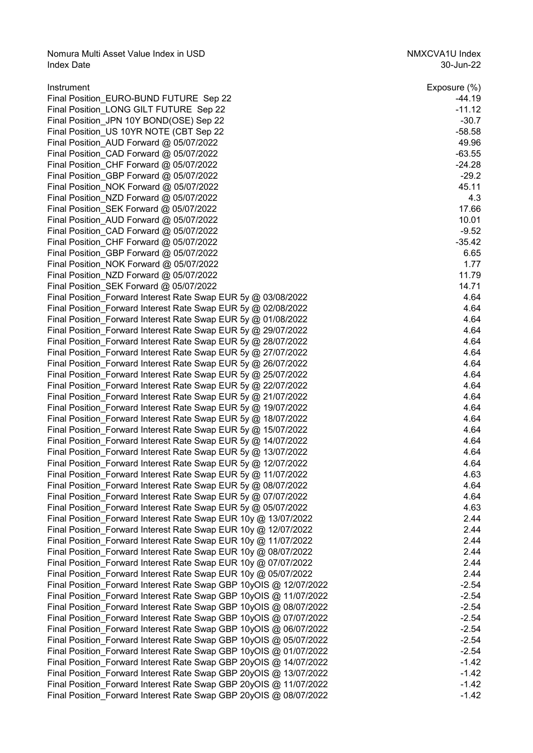Nomura Multi Asset Value Index in USD<br>1991 - Index Date NMXCVA1U Index<br>22-Jun-22 Index Date 30-Jun-22

| Instrument                                                        | Exposure (%) |
|-------------------------------------------------------------------|--------------|
| Final Position EURO-BUND FUTURE Sep 22                            | $-44.19$     |
| Final Position LONG GILT FUTURE Sep 22                            | $-11.12$     |
| Final Position_JPN 10Y BOND(OSE) Sep 22                           | $-30.7$      |
| Final Position_US 10YR NOTE (CBT Sep 22                           | $-58.58$     |
| Final Position_AUD Forward @ 05/07/2022                           | 49.96        |
| Final Position_CAD Forward @ 05/07/2022                           | $-63.55$     |
| Final Position_CHF Forward @ 05/07/2022                           | $-24.28$     |
| Final Position_GBP Forward @ 05/07/2022                           | $-29.2$      |
| Final Position_NOK Forward @ 05/07/2022                           | 45.11        |
| Final Position_NZD Forward @ 05/07/2022                           | 4.3          |
| Final Position_SEK Forward @ 05/07/2022                           | 17.66        |
| Final Position_AUD Forward @ 05/07/2022                           | 10.01        |
| Final Position_CAD Forward @ 05/07/2022                           | $-9.52$      |
| Final Position_CHF Forward @ 05/07/2022                           | $-35.42$     |
| Final Position_GBP Forward @ 05/07/2022                           | 6.65         |
| Final Position_NOK Forward @ 05/07/2022                           | 1.77         |
| Final Position NZD Forward @ 05/07/2022                           | 11.79        |
| Final Position_SEK Forward @ 05/07/2022                           | 14.71        |
| Final Position_Forward Interest Rate Swap EUR 5y @ 03/08/2022     | 4.64         |
| Final Position Forward Interest Rate Swap EUR 5y @ 02/08/2022     | 4.64         |
| Final Position_Forward Interest Rate Swap EUR 5y @ 01/08/2022     | 4.64         |
| Final Position_Forward Interest Rate Swap EUR 5y @ 29/07/2022     | 4.64         |
| Final Position_Forward Interest Rate Swap EUR 5y @ 28/07/2022     | 4.64         |
| Final Position_Forward Interest Rate Swap EUR 5y @ 27/07/2022     | 4.64         |
| Final Position_Forward Interest Rate Swap EUR 5y @ 26/07/2022     | 4.64         |
| Final Position_Forward Interest Rate Swap EUR 5y @ 25/07/2022     | 4.64         |
| Final Position_Forward Interest Rate Swap EUR 5y @ 22/07/2022     | 4.64         |
| Final Position_Forward Interest Rate Swap EUR 5y @ 21/07/2022     | 4.64         |
| Final Position_Forward Interest Rate Swap EUR 5y @ 19/07/2022     | 4.64         |
| Final Position Forward Interest Rate Swap EUR 5y @ 18/07/2022     | 4.64         |
| Final Position_Forward Interest Rate Swap EUR 5y @ 15/07/2022     | 4.64         |
| Final Position_Forward Interest Rate Swap EUR 5y @ 14/07/2022     | 4.64         |
| Final Position_Forward Interest Rate Swap EUR 5y @ 13/07/2022     | 4.64         |
| Final Position_Forward Interest Rate Swap EUR 5y @ 12/07/2022     | 4.64         |
| Final Position_Forward Interest Rate Swap EUR 5y @ 11/07/2022     | 4.63         |
| Final Position_Forward Interest Rate Swap EUR 5y @ 08/07/2022     | 4.64         |
| Final Position_Forward Interest Rate Swap EUR 5y @ 07/07/2022     | 4.64         |
| Final Position Forward Interest Rate Swap EUR 5y @ 05/07/2022     | 4.63         |
| Final Position Forward Interest Rate Swap EUR 10y @ 13/07/2022    | 2.44         |
| Final Position Forward Interest Rate Swap EUR 10y @ 12/07/2022    | 2.44         |
| Final Position_Forward Interest Rate Swap EUR 10y @ 11/07/2022    | 2.44         |
| Final Position_Forward Interest Rate Swap EUR 10y @ 08/07/2022    | 2.44         |
| Final Position_Forward Interest Rate Swap EUR 10y @ 07/07/2022    | 2.44         |
| Final Position_Forward Interest Rate Swap EUR 10y @ 05/07/2022    | 2.44         |
| Final Position Forward Interest Rate Swap GBP 10yOIS @ 12/07/2022 | $-2.54$      |
| Final Position_Forward Interest Rate Swap GBP 10yOIS @ 11/07/2022 | $-2.54$      |
| Final Position_Forward Interest Rate Swap GBP 10yOIS @ 08/07/2022 | $-2.54$      |
| Final Position_Forward Interest Rate Swap GBP 10yOIS @ 07/07/2022 | $-2.54$      |
| Final Position_Forward Interest Rate Swap GBP 10yOIS @ 06/07/2022 | $-2.54$      |
| Final Position Forward Interest Rate Swap GBP 10yOIS @ 05/07/2022 | $-2.54$      |
| Final Position_Forward Interest Rate Swap GBP 10yOIS @ 01/07/2022 | $-2.54$      |
| Final Position_Forward Interest Rate Swap GBP 20yOIS @ 14/07/2022 | $-1.42$      |
| Final Position_Forward Interest Rate Swap GBP 20yOIS @ 13/07/2022 | $-1.42$      |
| Final Position_Forward Interest Rate Swap GBP 20yOIS @ 11/07/2022 | $-1.42$      |
| Final Position_Forward Interest Rate Swap GBP 20yOIS @ 08/07/2022 | $-1.42$      |